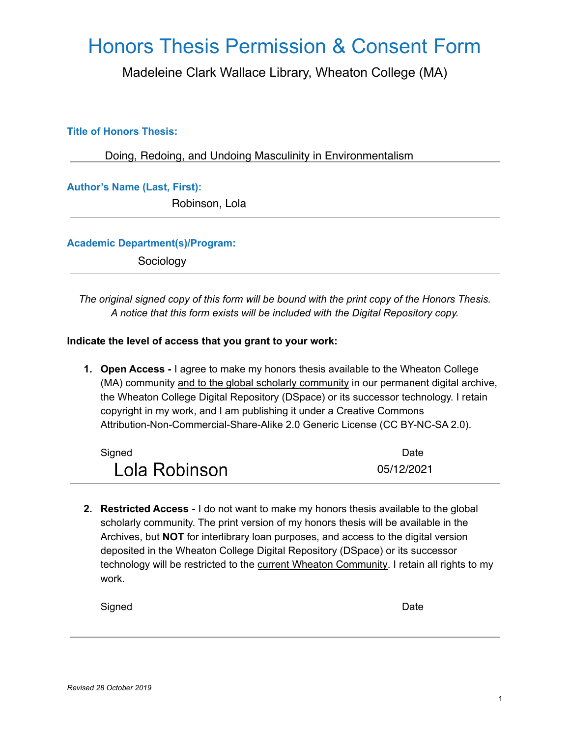## **Honors Thesis Permission & Consent Form**

Madeleine Clark Wallace Library, Wheaton College (MA)

### **Title of Honors Thesis:**

Doing, Redoing, and Undoing Masculinity in Environmentalism

**Author's Name (Last, First):** 

Robinson, Lola

#### **Academic Department(s)/Program:**

Sociology

The original signed copy of this form will be bound with the print copy of the Honors Thesis. A notice that this form exists will be included with the Digital Repository copy.

#### Indicate the level of access that you grant to your work:

1. Open Access - I agree to make my honors thesis available to the Wheaton College (MA) community and to the global scholarly community in our permanent digital archive, the Wheaton College Digital Repository (DSpace) or its successor technology. I retain copyright in my work, and I am publishing it under a Creative Commons Attribution-Non-Commercial-Share-Alike 2.0 Generic License (CC BY-NC-SA 2.0).

| Signed        | <b>Date</b> |
|---------------|-------------|
| Lola Robinson | 05/12/2021  |

2. Restricted Access - I do not want to make my honors thesis available to the global scholarly community. The print version of my honors thesis will be available in the Archives, but NOT for interlibrary loan purposes, and access to the digital version deposited in the Wheaton College Digital Repository (DSpace) or its successor technology will be restricted to the current Wheaton Community. I retain all rights to my work.

| ю |    | L |  |
|---|----|---|--|
|   | ır |   |  |
|   |    |   |  |

Date